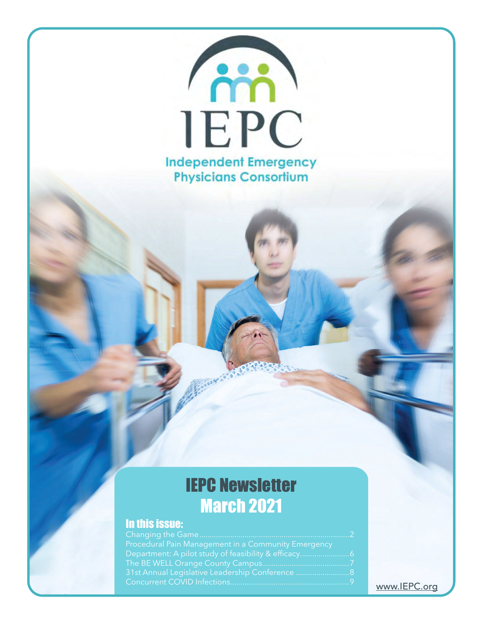

# IEPC Newsletter March 2021

# In this issue:

| <b>Procedural Pain Management in a Community Emergency</b> |  |
|------------------------------------------------------------|--|
|                                                            |  |
|                                                            |  |
| 31st Annual Legislative Leadership Conference  8           |  |
|                                                            |  |

# <www.IEPC.org>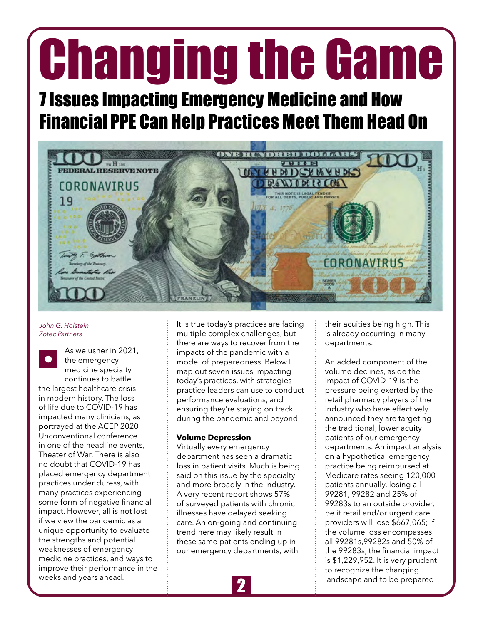# <span id="page-1-0"></span>Changing the Game

# 7 Issues Impacting Emergency Medicine and How Financial PPE Can Help Practices Meet Them Head On



*John G. Holstein Zotec Partners*

As we usher in 2021, the emergency medicine specialty continues to battle the largest healthcare crisis in modern history. The loss of life due to COVID-19 has impacted many clinicians, as portrayed at the ACEP 2020 Unconventional conference in one of the headline events, Theater of War. There is also no doubt that COVID-19 has placed emergency department practices under duress, with many practices experiencing some form of negative financial impact. However, all is not lost if we view the pandemic as a unique opportunity to evaluate the strengths and potential weaknesses of emergency medicine practices, and ways to improve their performance in the weeks and years ahead.

It is true today's practices are facing multiple complex challenges, but there are ways to recover from the impacts of the pandemic with a model of preparedness. Below I map out seven issues impacting today's practices, with strategies practice leaders can use to conduct performance evaluations, and ensuring they're staying on track during the pandemic and beyond.

#### **Volume Depression**

Virtually every emergency department has seen a dramatic loss in patient visits. Much is being said on this issue by the specialty and more broadly in the industry. A very recent report shows 57% of surveyed patients with chronic illnesses have delayed seeking care. An on-going and continuing trend here may likely result in these same patients ending up in our emergency departments, with

their acuities being high. This is already occurring in many departments.

An added component of the volume declines, aside the impact of COVID-19 is the pressure being exerted by the retail pharmacy players of the industry who have effectively announced they are targeting the traditional, lower acuity patients of our emergency departments. An impact analysis on a hypothetical emergency practice being reimbursed at Medicare rates seeing 120,000 patients annually, losing all 99281, 99282 and 25% of 99283s to an outside provider, be it retail and/or urgent care providers will lose \$667,065; if the volume loss encompasses all 99281s,99282s and 50% of the 99283s, the financial impact is \$1,229,952. It is very prudent to recognize the changing landscape and to be prepared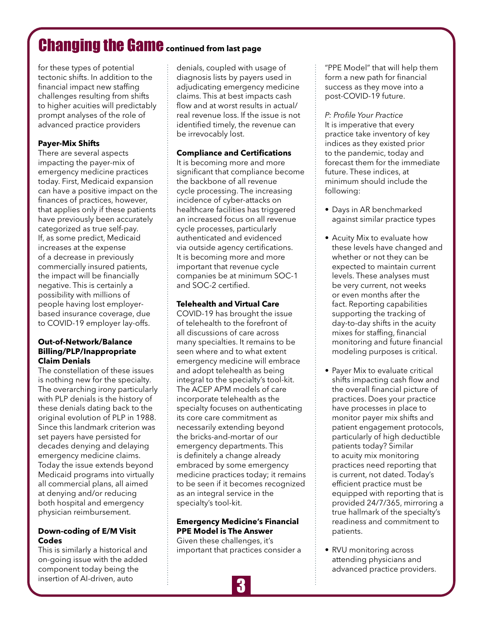# Changing the Game**continued from last page**

for these types of potential tectonic shifts. In addition to the financial impact new staffing challenges resulting from shifts to higher acuities will predictably prompt analyses of the role of advanced practice providers

## **Payer-Mix Shifts**

There are several aspects impacting the payer-mix of emergency medicine practices today. First, Medicaid expansion can have a positive impact on the finances of practices, however, that applies only if these patients have previously been accurately categorized as true self-pay. If, as some predict, Medicaid increases at the expense of a decrease in previously commercially insured patients, the impact will be financially negative. This is certainly a possibility with millions of people having lost employerbased insurance coverage, due to COVID-19 employer lay-offs.

#### **Out-of-Network/Balance Billing/PLP/Inappropriate Claim Denials**

The constellation of these issues is nothing new for the specialty. The overarching irony particularly with PLP denials is the history of these denials dating back to the original evolution of PLP in 1988. Since this landmark criterion was set payers have persisted for decades denying and delaying emergency medicine claims. Today the issue extends beyond Medicaid programs into virtually all commercial plans, all aimed at denying and/or reducing both hospital and emergency physician reimbursement.

#### **Down-coding of E/M Visit Codes**

This is similarly a historical and on-going issue with the added component today being the insertion of AI-driven, auto

denials, coupled with usage of diagnosis lists by payers used in adjudicating emergency medicine claims. This at best impacts cash flow and at worst results in actual/ real revenue loss. If the issue is not identified timely, the revenue can be irrevocably lost.

## **Compliance and Certifications**

It is becoming more and more significant that compliance become the backbone of all revenue cycle processing. The increasing incidence of cyber-attacks on healthcare facilities has triggered an increased focus on all revenue cycle processes, particularly authenticated and evidenced via outside agency certifications. It is becoming more and more important that revenue cycle companies be at minimum SOC-1 and SOC-2 certified.

## **Telehealth and Virtual Care**

COVID-19 has brought the issue of telehealth to the forefront of all discussions of care across many specialties. It remains to be seen where and to what extent emergency medicine will embrace and adopt telehealth as being integral to the specialty's tool-kit. The ACEP APM models of care incorporate telehealth as the specialty focuses on authenticating its core care commitment as necessarily extending beyond the bricks-and-mortar of our emergency departments. This is definitely a change already embraced by some emergency medicine practices today; it remains to be seen if it becomes recognized as an integral service in the specialty's tool-kit.

## **Emergency Medicine's Financial PPE Model is The Answer**

Given these challenges, it's important that practices consider a



"PPE Model" that will help them form a new path for financial success as they move into a post-COVID-19 future.

*P: Profile Your Practice* It is imperative that every practice take inventory of key indices as they existed prior to the pandemic, today and forecast them for the immediate future. These indices, at minimum should include the following:

- Days in AR benchmarked against similar practice types
- Acuity Mix to evaluate how these levels have changed and whether or not they can be expected to maintain current levels. These analyses must be very current, not weeks or even months after the fact. Reporting capabilities supporting the tracking of day-to-day shifts in the acuity mixes for staffing, financial monitoring and future financial modeling purposes is critical.
- Payer Mix to evaluate critical shifts impacting cash flow and the overall financial picture of practices. Does your practice have processes in place to monitor payer mix shifts and patient engagement protocols, particularly of high deductible patients today? Similar to acuity mix monitoring practices need reporting that is current, not dated. Today's efficient practice must be equipped with reporting that is provided 24/7/365, mirroring a true hallmark of the specialty's readiness and commitment to patients.
- RVU monitoring across attending physicians and advanced practice providers.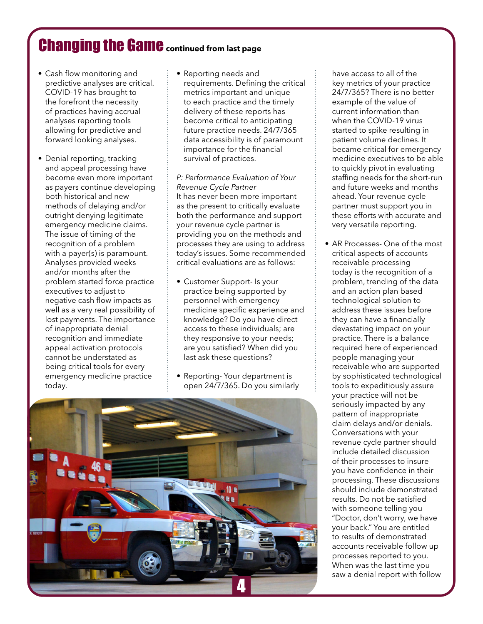# Changing the Game**continued from last page**

- Cash flow monitoring and predictive analyses are critical. COVID-19 has brought to the forefront the necessity of practices having accrual analyses reporting tools allowing for predictive and forward looking analyses.
- Denial reporting, tracking and appeal processing have become even more important as payers continue developing both historical and new methods of delaying and/or outright denying legitimate emergency medicine claims. The issue of timing of the recognition of a problem with a payer(s) is paramount. Analyses provided weeks and/or months after the problem started force practice executives to adjust to negative cash flow impacts as well as a very real possibility of lost payments. The importance of inappropriate denial recognition and immediate appeal activation protocols cannot be understated as being critical tools for every emergency medicine practice today.
- Reporting needs and requirements. Defining the critical metrics important and unique to each practice and the timely delivery of these reports has become critical to anticipating future practice needs. 24/7/365 data accessibility is of paramount importance for the financial survival of practices.

*P: Performance Evaluation of Your Revenue Cycle Partner* It has never been more important as the present to critically evaluate both the performance and support your revenue cycle partner is providing you on the methods and processes they are using to address today's issues. Some recommended critical evaluations are as follows:

- Customer Support- Is your practice being supported by personnel with emergency medicine specific experience and knowledge? Do you have direct access to these individuals; are they responsive to your needs; are you satisfied? When did you last ask these questions?
- Reporting- Your department is open 24/7/365. Do you similarly



have access to all of the key metrics of your practice 24/7/365? There is no better example of the value of current information than when the COVID-19 virus started to spike resulting in patient volume declines. It became critical for emergency medicine executives to be able to quickly pivot in evaluating staffing needs for the short-run and future weeks and months ahead. Your revenue cycle partner must support you in these efforts with accurate and very versatile reporting.

• AR Processes- One of the most critical aspects of accounts receivable processing today is the recognition of a problem, trending of the data and an action plan based technological solution to address these issues before they can have a financially devastating impact on your practice. There is a balance required here of experienced people managing your receivable who are supported by sophisticated technological tools to expeditiously assure your practice will not be seriously impacted by any pattern of inappropriate claim delays and/or denials. Conversations with your revenue cycle partner should include detailed discussion of their processes to insure you have confidence in their processing. These discussions should include demonstrated results. Do not be satisfied with someone telling you "Doctor, don't worry, we have your back." You are entitled to results of demonstrated accounts receivable follow up processes reported to you. When was the last time you saw a denial report with follow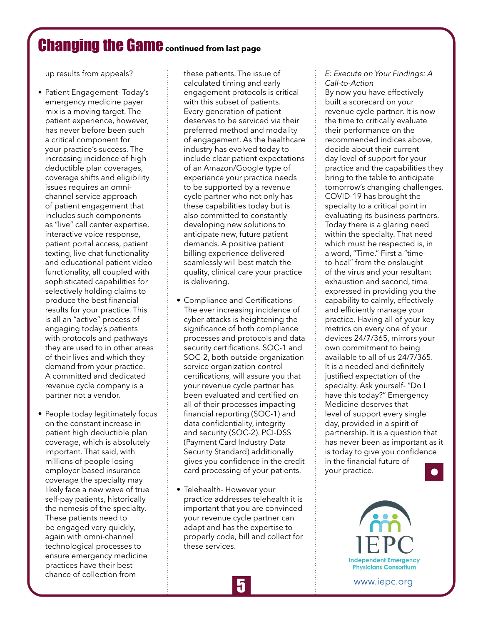# Changing the Game**continued from last page**

up results from appeals?

- Patient Engagement- Today's emergency medicine payer mix is a moving target. The patient experience, however, has never before been such a critical component for your practice's success. The increasing incidence of high deductible plan coverages, coverage shifts and eligibility issues requires an omnichannel service approach of patient engagement that includes such components as "live" call center expertise, interactive voice response, patient portal access, patient texting, live chat functionality and educational patient video functionality, all coupled with sophisticated capabilities for selectively holding claims to produce the best financial results for your practice. This is all an "active" process of engaging today's patients with protocols and pathways they are used to in other areas of their lives and which they demand from your practice. A committed and dedicated revenue cycle company is a partner not a vendor.
- People today legitimately focus on the constant increase in patient high deductible plan coverage, which is absolutely important. That said, with millions of people losing employer-based insurance coverage the specialty may likely face a new wave of true self-pay patients, historically the nemesis of the specialty. These patients need to be engaged very quickly, again with omni-channel technological processes to ensure emergency medicine practices have their best chance of collection from

these patients. The issue of calculated timing and early engagement protocols is critical with this subset of patients. Every generation of patient deserves to be serviced via their preferred method and modality of engagement. As the healthcare industry has evolved today to include clear patient expectations of an Amazon/Google type of experience your practice needs to be supported by a revenue cycle partner who not only has these capabilities today but is also committed to constantly developing new solutions to anticipate new, future patient demands. A positive patient billing experience delivered seamlessly will best match the quality, clinical care your practice is delivering.

- Compliance and Certifications-The ever increasing incidence of cyber-attacks is heightening the significance of both compliance processes and protocols and data security certifications. SOC-1 and SOC-2, both outside organization service organization control certifications, will assure you that your revenue cycle partner has been evaluated and certified on all of their processes impacting financial reporting (SOC-1) and data confidentiality, integrity and security (SOC-2). PCI-DSS (Payment Card Industry Data Security Standard) additionally gives you confidence in the credit card processing of your patients.
- Telehealth- However your practice addresses telehealth it is important that you are convinced your revenue cycle partner can adapt and has the expertise to properly code, bill and collect for these services.

#### *E: Execute on Your Findings: A Call-to-Action*

By now you have effectively built a scorecard on your revenue cycle partner. It is now the time to critically evaluate their performance on the recommended indices above, decide about their current day level of support for your practice and the capabilities they bring to the table to anticipate tomorrow's changing challenges. COVID-19 has brought the specialty to a critical point in evaluating its business partners. Today there is a glaring need within the specialty. That need which must be respected is, in a word, "Time." First a "timeto-heal" from the onslaught of the virus and your resultant exhaustion and second, time expressed in providing you the capability to calmly, effectively and efficiently manage your practice. Having all of your key metrics on every one of your devices 24/7/365, mirrors your own commitment to being available to all of us 24/7/365. It is a needed and definitely justified expectation of the specialty. Ask yourself- "Do I have this today?" Emergency Medicine deserves that level of support every single day, provided in a spirit of partnership. It is a question that has never been as important as it is today to give you confidence in the financial future of your practice.



[www.iepc.org](http://www.iepc.org)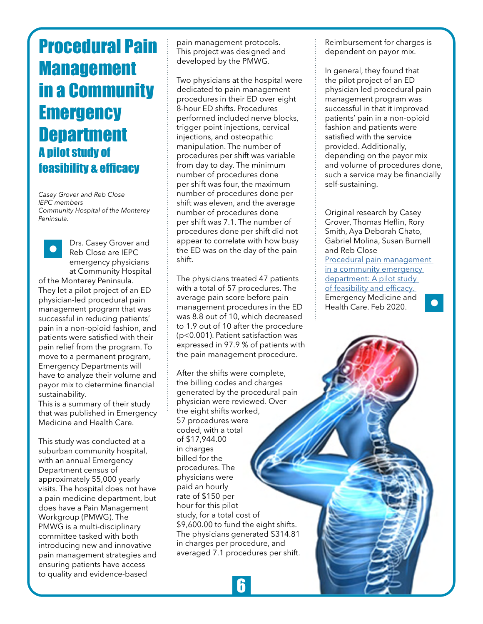# <span id="page-5-0"></span>Procedural Pain Management in a Community **Emergency Department** A pilot study of feasibility & efficacy

*Casey Grover and Reb Close IEPC members Community Hospital of the Monterey Peninsula.*



Drs. Casey Grover and Reb Close are IEPC emergency physicians at Community Hospital

of the Monterey Peninsula. They let a pilot project of an ED physician-led procedural pain management program that was successful in reducing patients' pain in a non-opioid fashion, and patients were satisfied with their pain relief from the program. To move to a permanent program, Emergency Departments will have to analyze their volume and payor mix to determine financial sustainability.

This is a summary of their study that was published in Emergency Medicine and Health Care.

This study was conducted at a suburban community hospital, with an annual Emergency Department census of approximately 55,000 yearly visits. The hospital does not have a pain medicine department, but does have a Pain Management Workgroup (PMWG). The PMWG is a multi-disciplinary committee tasked with both introducing new and innovative pain management strategies and ensuring patients have access to quality and evidence-based

pain management protocols. This project was designed and developed by the PMWG.

Two physicians at the hospital were dedicated to pain management procedures in their ED over eight 8-hour ED shifts. Procedures performed included nerve blocks, trigger point injections, cervical injections, and osteopathic manipulation. The number of procedures per shift was variable from day to day. The minimum number of procedures done per shift was four, the maximum number of procedures done per shift was eleven, and the average number of procedures done per shift was 7.1. The number of procedures done per shift did not appear to correlate with how busy the ED was on the day of the pain shift.

The physicians treated 47 patients with a total of 57 procedures. The average pain score before pain management procedures in the ED was 8.8 out of 10, which decreased to 1.9 out of 10 after the procedure (p<0.001). Patient satisfaction was expressed in 97.9 % of patients with the pain management procedure.

After the shifts were complete, the billing codes and charges generated by the procedural pain physician were reviewed. Over the eight shifts worked, 57 procedures were coded, with a total of \$17,944.00 in charges billed for the procedures. The physicians were paid an hourly rate of \$150 per hour for this pilot study, for a total cost of \$9,600.00 to fund the eight shifts. The physicians generated \$314.81 in charges per procedure, and averaged 7.1 procedures per shift. Reimbursement for charges is dependent on payor mix.

In general, they found that the pilot project of an ED physician led procedural pain management program was successful in that it improved patients' pain in a non-opioid fashion and patients were satisfied with the service provided. Additionally, depending on the payor mix and volume of procedures done, such a service may be financially self-sustaining.

Original research by Casey Grover, Thomas Heflin, Rory Smith, Aya Deborah Chato, Gabriel Molina, Susan Burnell and Reb Close [Procedural pain management](https://www.hoajonline.com/emergmedhealthcare/2052-6229/7/1)  in a community emergency [department: A pilot study](https://www.hoajonline.com/emergmedhealthcare/2052-6229/7/1)  [of feasibility and efficacy.](https://www.hoajonline.com/emergmedhealthcare/2052-6229/7/1)  Emergency Medicine and  $\bullet$ Health Care. Feb 2020.

**6**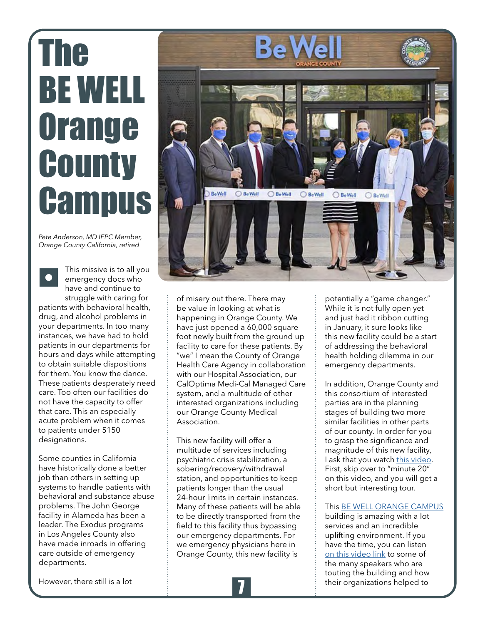# <span id="page-6-0"></span>The BE WELL **Orange County Campus**

*Pete Anderson, MD IEPC Member, Orange County California, retired*

This missive is to all you emergency docs who have and continue to struggle with caring for patients with behavioral health, drug, and alcohol problems in your departments. In too many instances, we have had to hold patients in our departments for hours and days while attempting to obtain suitable dispositions for them. You know the dance. These patients desperately need care. Too often our facilities do not have the capacity to offer that care. This an especially acute problem when it comes to patients under 5150 designations.

Some counties in California have historically done a better job than others in setting up systems to handle patients with behavioral and substance abuse problems. The John George facility in Alameda has been a leader. The Exodus programs in Los Angeles County also have made inroads in offering care outside of emergency departments.



of misery out there. There may be value in looking at what is happening in Orange County. We have just opened a 60,000 square foot newly built from the ground up facility to care for these patients. By "we" I mean the County of Orange Health Care Agency in collaboration with our Hospital Association, our CalOptima Medi-Cal Managed Care system, and a multitude of other interested organizations including our Orange County Medical Association.

This new facility will offer a multitude of services including psychiatric crisis stabilization, a sobering/recovery/withdrawal station, and opportunities to keep patients longer than the usual 24-hour limits in certain instances. Many of these patients will be able to be directly transported from the field to this facility thus bypassing our emergency departments. For we emergency physicians here in Orange County, this new facility is

potentially a "game changer." While it is not fully open yet and just had it ribbon cutting in January, it sure looks like this new facility could be a start of addressing the behavioral health holding dilemma in our emergency departments.

In addition, Orange County and this consortium of interested parties are in the planning stages of building two more similar facilities in other parts of our county. In order for you to grasp the significance and magnitude of this new facility, I ask that you watch [this video.](https://www.youtube.com/watch?v=OOvWX9AzTlE&t=218s) First, skip over to "minute 20" on this video, and you will get a short but interesting tour.

#### This [BE WELL ORANGE CAMPUS](https://bewelloc.org/)

building is amazing with a lot services and an incredible uplifting environment. If you have the time, you can listen [on this video link](https://www.ocregister.com/2021/01/13/be-well-oc-campus-set-to-open-marking-hoped-for-turning-point-in-mental-and-behavioral-health-services) to some of the many speakers who are touting the building and how their organizations helped to

However, there still is a lot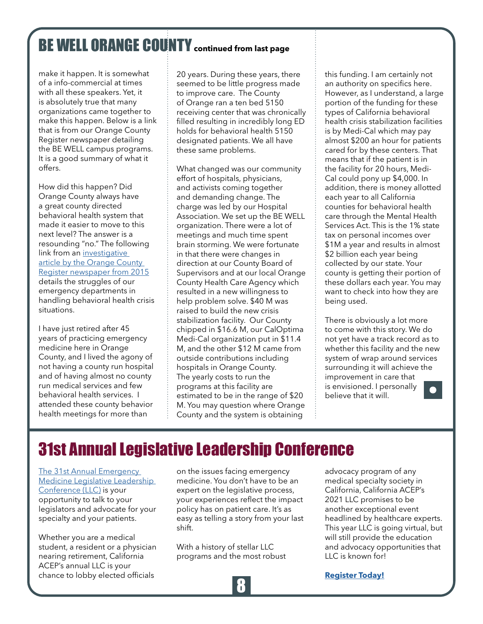# <span id="page-7-0"></span>BE WELL ORANGE COUNTY **continued from last page**

make it happen. It is somewhat of a info-commercial at times with all these speakers. Yet, it is absolutely true that many organizations came together to make this happen. Below is a link that is from our Orange County Register newspaper detailing the BE WELL campus programs. It is a good summary of what it offers.

How did this happen? Did Orange County always have a great county directed behavioral health system that made it easier to move to this next level? The answer is a resounding "no." The following link from an investigative article by the Orange County [Register newspaper from 2015](https://www.ocregister.com/2015/03/03/psychiatric-treatment-in-orange-county-part-3-county-hospitals-wrestle-over-a-fix-for-mental-health-care/) details the struggles of our emergency departments in handling behavioral health crisis situations.

I have just retired after 45 years of practicing emergency medicine here in Orange County, and I lived the agony of not having a county run hospital and of having almost no county run medical services and few behavioral health services. I attended these county behavior health meetings for more than

20 years. During these years, there seemed to be little progress made to improve care. The County of Orange ran a ten bed 5150 receiving center that was chronically filled resulting in incredibly long ED holds for behavioral health 5150 designated patients. We all have these same problems.

What changed was our community effort of hospitals, physicians, and activists coming together and demanding change. The charge was led by our Hospital Association. We set up the BE WELL organization. There were a lot of meetings and much time spent brain storming. We were fortunate in that there were changes in direction at our County Board of Supervisors and at our local Orange County Health Care Agency which resulted in a new willingness to help problem solve. \$40 M was raised to build the new crisis stabilization facility. Our County chipped in \$16.6 M, our CalOptima Medi-Cal organization put in \$11.4 M, and the other \$12 M came from outside contributions including hospitals in Orange County. The yearly costs to run the programs at this facility are estimated to be in the range of \$20 M. You may question where Orange County and the system is obtaining

this funding. I am certainly not an authority on specifics here. However, as I understand, a large portion of the funding for these types of California behavioral health crisis stabilization facilities is by Medi-Cal which may pay almost \$200 an hour for patients cared for by these centers. That means that if the patient is in the facility for 20 hours, Medi-Cal could pony up \$4,000. In addition, there is money allotted each year to all California counties for behavioral health care through the Mental Health Services Act. This is the 1% state tax on personal incomes over \$1M a year and results in almost \$2 billion each year being collected by our state. Your county is getting their portion of these dollars each year. You may want to check into how they are being used.

There is obviously a lot more to come with this story. We do not yet have a track record as to whether this facility and the new system of wrap around services surrounding it will achieve the improvement in care that is envisioned. I personally believe that it will.

# 31st Annual Legislative Leadership Conference

[The 31st Annual Emergency](https://californiaacep.org/event/LLC2021)  [Medicine Legislative Leadership](https://californiaacep.org/event/LLC2021)  [Conference \(LLC\)](https://californiaacep.org/event/LLC2021) is your opportunity to talk to your legislators and advocate for your specialty and your patients.

Whether you are a medical student, a resident or a physician nearing retirement, California ACEP's annual LLC is your chance to lobby elected officials

on the issues facing emergency medicine. You don't have to be an expert on the legislative process, your experiences reflect the impact policy has on patient care. It's as easy as telling a story from your last shift.

With a history of stellar LLC programs and the most robust advocacy program of any medical specialty society in California, California ACEP's 2021 LLC promises to be another exceptional event headlined by healthcare experts. This year LLC is going virtual, but will still provide the education and advocacy opportunities that LLC is known for!



**[Register Today!](https://californiaacep.org/events/register.aspx?id=1489120&itemid=d5c6f581-258f-41df-9ba4-0662401ba5e6)**